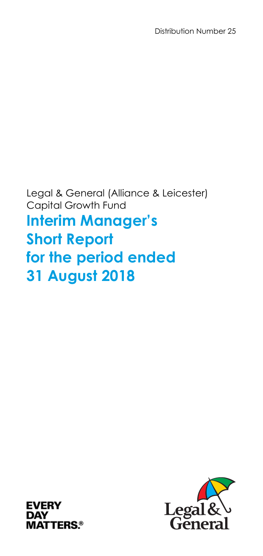Legal & General (Alliance & Leicester) Capital Growth Fund **Interim Manager's Short Report** 

# **for the period ended 31 August 2018**



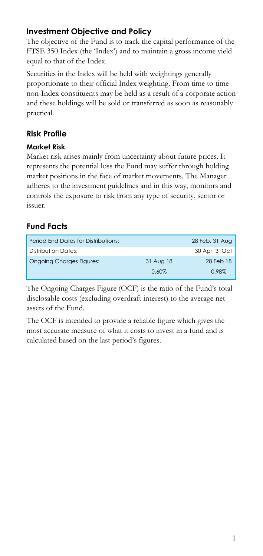# **Investment Objective and Policy**

The objective of the Fund is to track the capital performance of the FTSE 350 Index (the 'Index') and to maintain a gross income yield equal to that of the Index.

Securities in the Index will be held with weightings generally proportionate to their official Index weighting. From time to time non-Index constituents may be held as a result of a corporate action and these holdings will be sold or transferred as soon as reasonably practical.

# **Risk Profile**

#### **Market Risk**

Market risk arises mainly from uncertainty about future prices. It represents the potential loss the Fund may suffer through holding market positions in the face of market movements. The Manager adheres to the investment guidelines and in this way, monitors and controls the exposure to risk from any type of security, sector or issuer.

# **Fund Facts**

| Period End Dates for Distributions: |           | 28 Feb, 31 Aug |
|-------------------------------------|-----------|----------------|
| Distribution Dates:                 |           | 30 Apr, 31 Oct |
| <b>Ongoing Charges Figures:</b>     | 31 Aug 18 | 28 Feb 18      |
|                                     | 0.60%     | 0.98%          |

The Ongoing Charges Figure (OCF) is the ratio of the Fund's total disclosable costs (excluding overdraft interest) to the average net assets of the Fund.

The OCF is intended to provide a reliable figure which gives the most accurate measure of what it costs to invest in a fund and is calculated based on the last period's figures.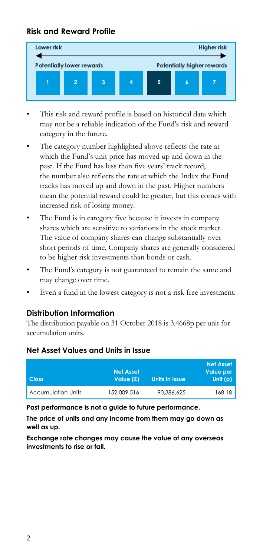# **Risk and Reward Profile**



- This risk and reward profile is based on historical data which may not be a reliable indication of the Fund's risk and reward category in the future.
- The category number highlighted above reflects the rate at which the Fund's unit price has moved up and down in the past. If the Fund has less than five years' track record, the number also reflects the rate at which the Index the Fund tracks has moved up and down in the past. Higher numbers mean the potential reward could be greater, but this comes with increased risk of losing money.
- The Fund is in category five because it invests in company shares which are sensitive to variations in the stock market. The value of company shares can change substantially over short periods of time. Company shares are generally considered to be higher risk investments than bonds or cash.
- The Fund's category is not guaranteed to remain the same and may change over time.
- Even a fund in the lowest category is not a risk free investment.

#### **Distribution Information**

The distribution payable on 31 October 2018 is 3.4668p per unit for accumulation units.

#### **Net Asset Values and Units in Issue**

| <b>Class</b>              | <b>Net Asset</b><br>Value (£) | <b>Units in Issue</b> | <b>Net Asset</b><br><b>Value per</b><br>Unit $(p)$ |
|---------------------------|-------------------------------|-----------------------|----------------------------------------------------|
| <b>Accumulation Units</b> | 152.009.516                   | 90.386.625            | 168.18                                             |

**Past performance is not a guide to future performance.** 

**The price of units and any income from them may go down as well as up.** 

**Exchange rate changes may cause the value of any overseas investments to rise or fall.**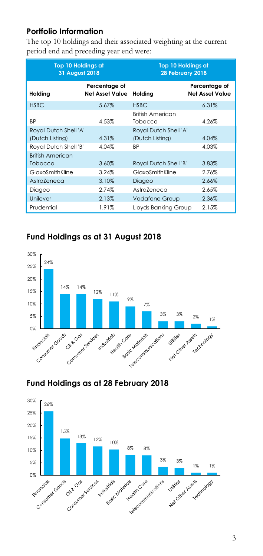# **Portfolio Information**

The top 10 holdings and their associated weighting at the current period end and preceding year end were:

| <b>Top 10 Holdings at</b><br>31 August 2018 |                                  | <b>Top 10 Holdings at</b><br>28 February 2018 |                                         |
|---------------------------------------------|----------------------------------|-----------------------------------------------|-----------------------------------------|
| Holding                                     | Percentage of<br>Net Asset Value | Holding                                       | Percentage of<br><b>Net Asset Value</b> |
| <b>HSBC</b>                                 | 5.67%                            | <b>HSBC</b>                                   | 6.31%                                   |
| <b>BP</b>                                   | 4.53%                            | <b>British American</b><br>Tobacco            | 4.26%                                   |
| Royal Dutch Shell 'A'                       |                                  | Royal Dutch Shell 'A'                         |                                         |
| (Dutch Listing)                             | 4.31%                            | (Dutch Listing)                               | 4.04%                                   |
| Royal Dutch Shell 'B'                       | 4.04%                            | <b>BP</b>                                     | 4.03%                                   |
| <b>British American</b>                     |                                  |                                               |                                         |
| Tobacco                                     | 3.60%                            | Royal Dutch Shell 'B'                         | 3.83%                                   |
| GlaxoSmithKline                             | 3.24%                            | GlaxoSmithKline                               | 2.76%                                   |
| AstraZeneca                                 | 3.10%                            | Diageo                                        | 2.66%                                   |
| Diageo                                      | 2.74%                            | AstraZeneca                                   | 2.65%                                   |
| Unilever                                    | 2.13%                            | <b>Vodafone Group</b>                         | 2.36%                                   |
| Prudential                                  | 1.91%                            | Llovds Bankina Group                          | 2.15%                                   |

# **Fund Holdings as at 31 August 2018**





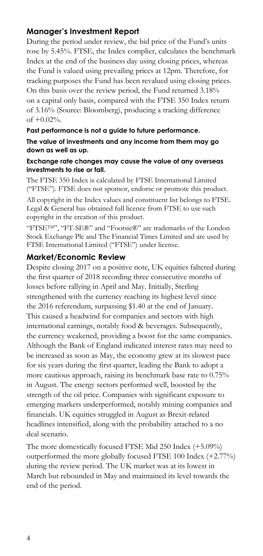# **Manager's Investment Report**

During the period under review, the bid price of the Fund's units rose by 5.45%. FTSE, the Index complier, calculates the benchmark Index at the end of the business day using closing prices, whereas the Fund is valued using prevailing prices at 12pm. Therefore, for tracking purposes the Fund has been revalued using closing prices. On this basis over the review period, the Fund returned 3.18% on a capital only basis, compared with the FTSE 350 Index return of 3.16% (Source: Bloomberg), producing a tracking difference of +0.02%.

#### **Past performance is not a guide to future performance.**

**The value of investments and any income from them may go down as well as up.** 

#### **Exchange rate changes may cause the value of any overseas investments to rise or fall.**

The FTSE 350 Index is calculated by FTSE International Limited ("FTSE"). FTSE does not sponsor, endorse or promote this product.

All copyright in the Index values and constituent list belongs to FTSE. Legal & General has obtained full licence from FTSE to use such copyright in the creation of this product.

"FTSETM", "FT-SE®" and "Footsie®" are trademarks of the London Stock Exchange Plc and The Financial Times Limited and are used by FTSE International Limited ("FTSE") under license.

#### **Market/Economic Review**

Despite closing 2017 on a positive note, UK equities faltered during the first quarter of 2018 recording three consecutive months of losses before rallying in April and May. Initially, Sterling strengthened with the currency reaching its highest level since the 2016 referendum, surpassing \$1.40 at the end of January. This caused a headwind for companies and sectors with high international earnings, notably food & beverages. Subsequently, the currency weakened, providing a boost for the same companies. Although the Bank of England indicated interest rates may need to be increased as soon as May, the economy grew at its slowest pace for six years during the first quarter, leading the Bank to adopt a more cautious approach, raising its benchmark base rate to 0.75% in August. The energy sectors performed well, boosted by the strength of the oil price. Companies with significant exposure to emerging markets underperformed, notably mining companies and financials. UK equities struggled in August as Brexit-related headlines intensified, along with the probability attached to a no deal scenario.

The more domestically focused FTSE Mid 250 Index (+5.09%) outperformed the more globally focused FTSE 100 Index (+2.77%) during the review period. The UK market was at its lowest in March but rebounded in May and maintained its level towards the end of the period.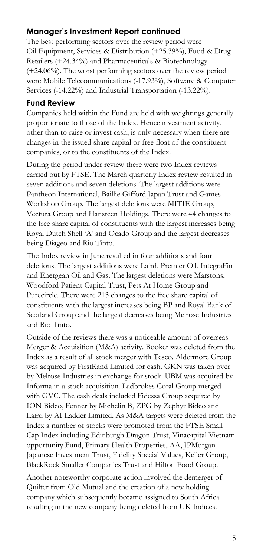# **Manager's Investment Report continued**

The best performing sectors over the review period were Oil Equipment, Services & Distribution (+25.39%), Food & Drug Retailers (+24.34%) and Pharmaceuticals & Biotechnology (+24.06%). The worst performing sectors over the review period were Mobile Telecommunications (-17.93%), Software & Computer Services (-14.22%) and Industrial Transportation (-13.22%).

#### **Fund Review**

Companies held within the Fund are held with weightings generally proportionate to those of the Index. Hence investment activity, other than to raise or invest cash, is only necessary when there are changes in the issued share capital or free float of the constituent companies, or to the constituents of the Index.

During the period under review there were two Index reviews carried out by FTSE. The March quarterly Index review resulted in seven additions and seven deletions. The largest additions were Pantheon International, Baillie Gifford Japan Trust and Games Workshop Group. The largest deletions were MITIE Group, Vectura Group and Hansteen Holdings. There were 44 changes to the free share capital of constituents with the largest increases being Royal Dutch Shell 'A' and Ocado Group and the largest decreases being Diageo and Rio Tinto.

The Index review in June resulted in four additions and four deletions. The largest additions were Laird, Premier Oil, IntegraFin and Energean Oil and Gas. The largest deletions were Marstons, Woodford Patient Capital Trust, Pets At Home Group and Purecircle. There were 213 changes to the free share capital of constituents with the largest increases being BP and Royal Bank of Scotland Group and the largest decreases being Melrose Industries and Rio Tinto.

Outside of the reviews there was a noticeable amount of overseas Merger & Acquisition (M&A) activity. Booker was deleted from the Index as a result of all stock merger with Tesco. Aldermore Group was acquired by FirstRand Limited for cash. GKN was taken over by Melrose Industries in exchange for stock. UBM was acquired by Informa in a stock acquisition. Ladbrokes Coral Group merged with GVC. The cash deals included Fidessa Group acquired by ION Bidco, Fenner by Michelin B, ZPG by Zephyr Bidco and Laird by AI Ladder Limited. As M&A targets were deleted from the Index a number of stocks were promoted from the FTSE Small Cap Index including Edinburgh Dragon Trust, Vinacapital Vietnam opportunity Fund, Primary Health Properties, AA, JPMorgan Japanese Investment Trust, Fidelity Special Values, Keller Group, BlackRock Smaller Companies Trust and Hilton Food Group.

Another noteworthy corporate action involved the demerger of Quilter from Old Mutual and the creation of a new holding company which subsequently became assigned to South Africa resulting in the new company being deleted from UK Indices.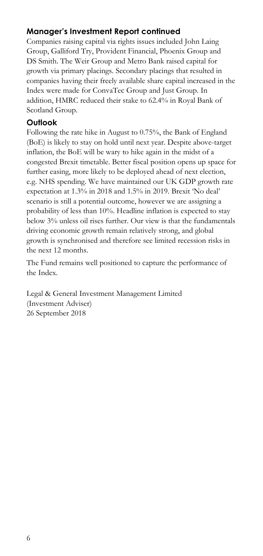# **Manager's Investment Report continued**

Companies raising capital via rights issues included John Laing Group, Galliford Try, Provident Financial, Phoenix Group and DS Smith. The Weir Group and Metro Bank raised capital for growth via primary placings. Secondary placings that resulted in companies having their freely available share capital increased in the Index were made for ConvaTec Group and Just Group. In addition, HMRC reduced their stake to 62.4% in Royal Bank of Scotland Group.

# **Outlook**

Following the rate hike in August to 0.75%, the Bank of England (BoE) is likely to stay on hold until next year. Despite above-target inflation, the BoE will be wary to hike again in the midst of a congested Brexit timetable. Better fiscal position opens up space for further easing, more likely to be deployed ahead of next election, e.g. NHS spending. We have maintained our UK GDP growth rate expectation at 1.3% in 2018 and 1.5% in 2019. Brexit 'No deal' scenario is still a potential outcome, however we are assigning a probability of less than 10%. Headline inflation is expected to stay below 3% unless oil rises further. Our view is that the fundamentals driving economic growth remain relatively strong, and global growth is synchronised and therefore see limited recession risks in the next 12 months.

The Fund remains well positioned to capture the performance of the Index.

Legal & General Investment Management Limited (Investment Adviser) 26 September 2018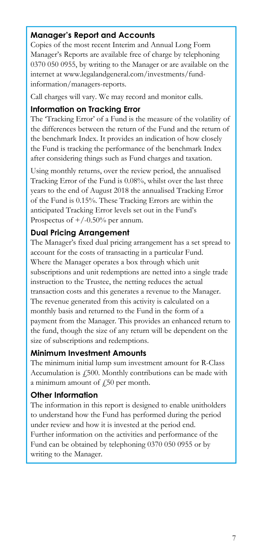# **Manager's Report and Accounts**

Copies of the most recent Interim and Annual Long Form Manager's Reports are available free of charge by telephoning 0370 050 0955, by writing to the Manager or are available on the internet at www.legalandgeneral.com/investments/fundinformation/managers-reports.

Call charges will vary. We may record and monitor calls.

#### **Information on Tracking Error**

The 'Tracking Error' of a Fund is the measure of the volatility of the differences between the return of the Fund and the return of the benchmark Index. It provides an indication of how closely the Fund is tracking the performance of the benchmark Index after considering things such as Fund charges and taxation.

Using monthly returns, over the review period, the annualised Tracking Error of the Fund is 0.08%, whilst over the last three years to the end of August 2018 the annualised Tracking Error of the Fund is 0.15%. These Tracking Errors are within the anticipated Tracking Error levels set out in the Fund's Prospectus of  $+/-0.50%$  per annum.

#### **Dual Pricing Arrangement**

The Manager's fixed dual pricing arrangement has a set spread to account for the costs of transacting in a particular Fund. Where the Manager operates a box through which unit subscriptions and unit redemptions are netted into a single trade instruction to the Trustee, the netting reduces the actual transaction costs and this generates a revenue to the Manager. The revenue generated from this activity is calculated on a monthly basis and returned to the Fund in the form of a payment from the Manager. This provides an enhanced return to the fund, though the size of any return will be dependent on the size of subscriptions and redemptions.

#### **Minimum Investment Amounts**

The minimum initial lump sum investment amount for R-Class Accumulation is  $\sqrt{2500}$ . Monthly contributions can be made with a minimum amount of  $\sqrt{250}$  per month.

#### **Other Information**

The information in this report is designed to enable unitholders to understand how the Fund has performed during the period under review and how it is invested at the period end. Further information on the activities and performance of the

Fund can be obtained by telephoning 0370 050 0955 or by writing to the Manager.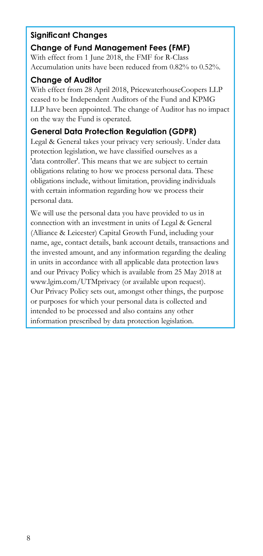#### **Significant Changes**

#### **Change of Fund Management Fees (FMF)**

With effect from 1 June 2018, the FMF for R-Class Accumulation units have been reduced from 0.82% to 0.52%.

#### **Change of Auditor**

With effect from 28 April 2018, PricewaterhouseCoopers LLP ceased to be Independent Auditors of the Fund and KPMG LLP have been appointed. The change of Auditor has no impact on the way the Fund is operated.

# **General Data Protection Regulation (GDPR)**

Legal & General takes your privacy very seriously. Under data protection legislation, we have classified ourselves as a 'data controller'. This means that we are subject to certain obligations relating to how we process personal data. These obligations include, without limitation, providing individuals with certain information regarding how we process their personal data.

We will use the personal data you have provided to us in connection with an investment in units of Legal & General (Alliance & Leicester) Capital Growth Fund, including your name, age, contact details, bank account details, transactions and the invested amount, and any information regarding the dealing in units in accordance with all applicable data protection laws and our Privacy Policy which is available from 25 May 2018 at www.lgim.com/UTMprivacy (or available upon request). Our Privacy Policy sets out, amongst other things, the purpose or purposes for which your personal data is collected and intended to be processed and also contains any other information prescribed by data protection legislation.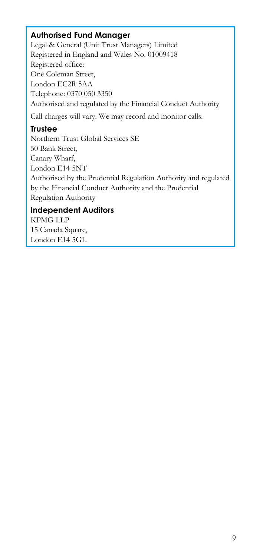# **Authorised Fund Manager**

Legal & General (Unit Trust Managers) Limited Registered in England and Wales No. 01009418 Registered office: One Coleman Street, London EC2R 5AA Telephone: 0370 050 3350 Authorised and regulated by the Financial Conduct Authority Call charges will vary. We may record and monitor calls.

# **Trustee**

Northern Trust Global Services SE 50 Bank Street, Canary Wharf, London E14 5NT Authorised by the Prudential Regulation Authority and regulated by the Financial Conduct Authority and the Prudential Regulation Authority

# **Independent Auditors**

KPMG LLP 15 Canada Square, London E14 5GL

Ï